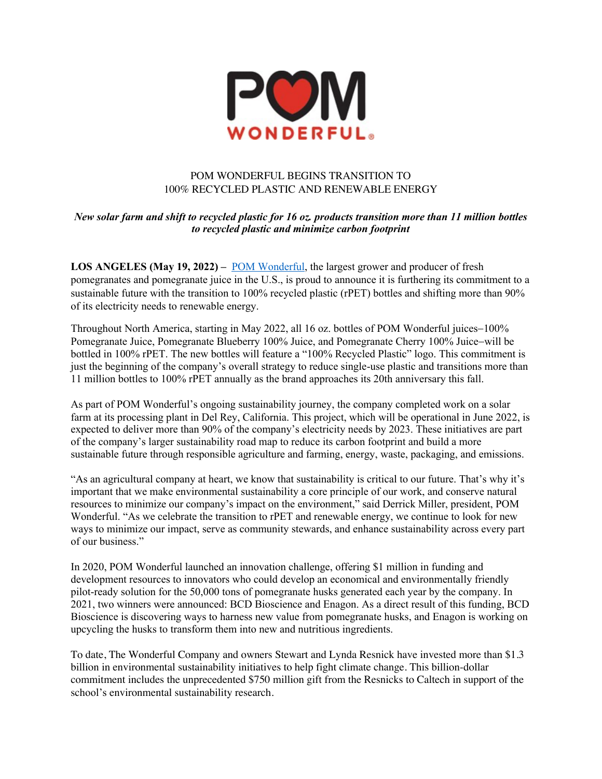

## POM WONDERFUL BEGINS TRANSITION TO 100% RECYCLED PLASTIC AND RENEWABLE ENERGY

## *New solar farm and shift to recycled plastic for 16 oz. products transition more than 11 million bottles to recycled plastic and minimize carbon footprint*

**LOS ANGELES (May 19, 2022) –** POM Wonderful, the largest grower and producer of fresh pomegranates and pomegranate juice in the U.S., is proud to announce it is furthering its commitment to a sustainable future with the transition to 100% recycled plastic (rPET) bottles and shifting more than 90% of its electricity needs to renewable energy.

Throughout North America, starting in May 2022, all 16 oz. bottles of POM Wonderful juices-100% Pomegranate Juice, Pomegranate Blueberry 100% Juice, and Pomegranate Cherry 100% Juice-will be bottled in 100% rPET. The new bottles will feature a "100% Recycled Plastic" logo. This commitment is just the beginning of the company's overall strategy to reduce single-use plastic and transitions more than 11 million bottles to 100% rPET annually as the brand approaches its 20th anniversary this fall.

As part of POM Wonderful's ongoing sustainability journey, the company completed work on a solar farm at its processing plant in Del Rey, California. This project, which will be operational in June 2022, is expected to deliver more than 90% of the company's electricity needs by 2023. These initiatives are part of the company's larger sustainability road map to reduce its carbon footprint and build a more sustainable future through responsible agriculture and farming, energy, waste, packaging, and emissions.

"As an agricultural company at heart, we know that sustainability is critical to our future. That's why it's important that we make environmental sustainability a core principle of our work, and conserve natural resources to minimize our company's impact on the environment," said Derrick Miller, president, POM Wonderful. "As we celebrate the transition to rPET and renewable energy, we continue to look for new ways to minimize our impact, serve as community stewards, and enhance sustainability across every part of our business."

In 2020, POM Wonderful launched an innovation challenge, offering \$1 million in funding and development resources to innovators who could develop an economical and environmentally friendly pilot-ready solution for the 50,000 tons of pomegranate husks generated each year by the company. In 2021, two winners were announced: BCD Bioscience and Enagon. As a direct result of this funding, BCD Bioscience is discovering ways to harness new value from pomegranate husks, and Enagon is working on upcycling the husks to transform them into new and nutritious ingredients.

To date, The Wonderful Company and owners Stewart and Lynda Resnick have invested more than \$1.3 billion in environmental sustainability initiatives to help fight climate change. This billion-dollar commitment includes the unprecedented \$750 million gift from the Resnicks to Caltech in support of the school's environmental sustainability research.